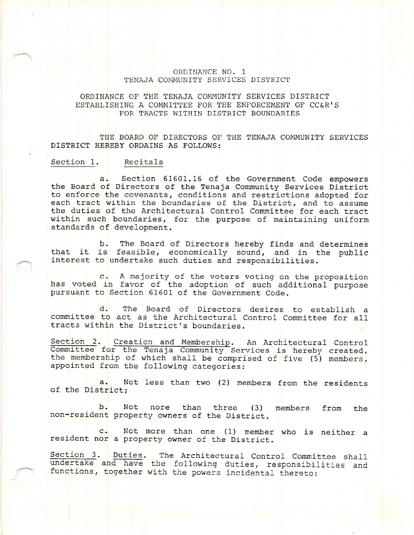## ORDINANCE NO. 1 TENAJA COMMUNITY SERVICES DISTRICT

## ORDINANCE OF THE TENAJA COMMUNITY SERVICES DISTRICT ESTABLISHING A COMMITTEE FOR THE ENFORCEMENT OF CC&R'S FOR TRACTS WITHIN DISTRICT BOUNDARIES

THE BOARD OF DIRECTORS OF THE TENAJA COMMUNITY SERVICES DISTRICT HEREBY ORDAINS AS FOLLOWS:

## Section 1. Recitals

Section 61601.16 of the Government Code empowers  $a.$ the Board of Directors of the Tenaja Community Services District to enforce the covenants, conditions and restrictions adopted for each tract within the boundaries of the District, and to assume the duties of the Architectural Control Committee for each tract within such boundaries, for the purpose of maintaining uniform standards of development.

The Board of Directors hereby finds and determines  $b.$ that it is feasible, economically sound, and in the public interest to undertake such duties and responsibilities.

c. A majority of the voters voting on the proposition has voted in favor of the adoption of such additional purpose pursuant to Section 61601 of the Government Code.

d. The Board of Directors desires to establish a committee to act as the Architectural Control Committee for all tracts within the District's boundaries.

Section 2. Creation and Membership. An Architectural Control Committee for the Tenaja Community Services is hereby created, the membership of which shall be comprised of five (5) members, appointed from the following categories:

Not less than two (2) members from the residents  $a<sub>1</sub>$ of the District;

Not nore  $b$ . than three  $(3)$ members from the non-resident property owners of the District.

Not more than one (1) member who is neither a  $\mathsf{c}$ . resident nor a property owner of the District.

Section 3. Duties. The Architectural Control Committee shall undertake and have the following duties, responsibilities and functions, together with the powers incidental thereto: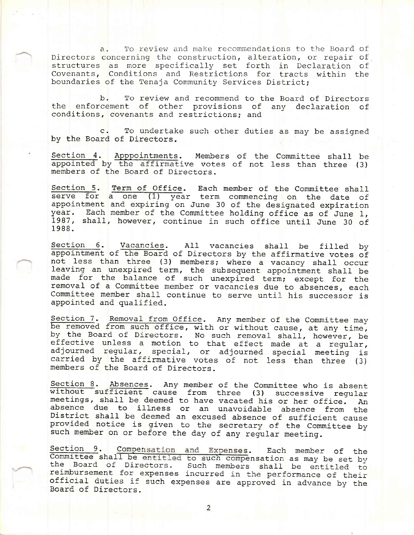a. To review and make recommendations to the Board of Directors concerning the construction, alteration, or repair of structures as more specifically set forth in Declaration of Covenants, Conditions and Restrictions for tracts within the boundaries of the Tenaja Community Services District;

b. To review and recommend to the Board of Directors the enforcement of other provisions of any declaration of conditions, covenants and restrictions; and

c. To undertake such other duties as may be assigned by the Board of Directors.

Section 4. Apppointments. Members of the Committee shall be appointed by the affirmative votes of not less than three (3) members of the Board of Directors.

Section 5. Term of Office. Each member of the Committee shall serve for a one (1) year term commencing on the date of appointment and expiring on June 30 of the designated expiration year. Each member of the Committee hold 1987, shall, however, continue in such office until June 30 of 1988.

Section 6. Vacancies. All vacancies shall be filled by<br>appointment of the Board of Directors by the affirmative votes of<br>not less than three (3) members; where a vacancy shall occur<br>leaving an unexpired term, the subsequen Committee member shall continue to serve until his successor is appointed and qualified.

Section 7. Removal from Office. Any member of the Committee may<br>be removed from such office, with or without cause, at any time,<br>by the Board of Directors. No such removal shall, however, be<br>effective unless a motion to th

Section 8. Absences. Any member of the Committee who is absent<br>without sufficient cause from three (3) successive regular<br>meetings, shall be deemed to have vacated his or her office. An<br>absence due to illness or an unavoid

Section 9. Compensation and Expenses. Each member of the Committee shall be entitled to such compensation as may be set by official duties if such expenses are approved in advance by the the Board of Directors. Such members shall be entitled to<br>reimbursement for expenses incurred in the performance of their<br>official duties if such expenses are approved in advance by the<br>Board of Directors.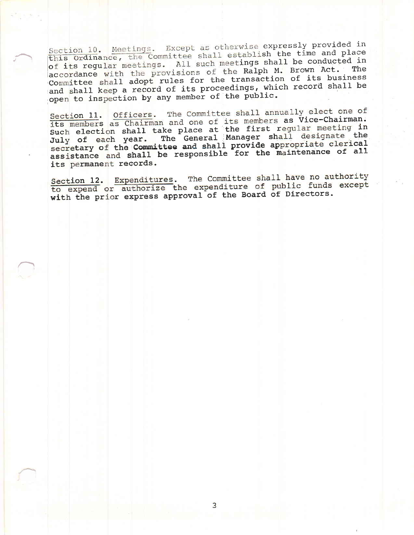Section 10. Meetings. Except as otherwise expressly provided in this Ordinance, the Committee shall establish the time and place of its regular meetings. All such meetings shall be conducted in accordance with the provisions of the Ralph M. Brown Act. The Committee shall adopt rules for the transaction of its business and shall keep a record of its proceedings, which record shall be open to inspection by any member of the public.

Section 11. Officers. The Committee shall annually elect one of its members as Chairman and one of its members as Vice-Chairman.<br>Such election shall take place at the first regular meeting in July of each year. The General Manager shall designate the secretary of the Committee and shall provide appropriate clerical assistance and shall be responsible for the maintenance of all its permanent records.

Section 12. Expenditures. The Committee shall have no authority to expend or authorize the expenditure of public funds except with the prior express approval of the Board of Directors.